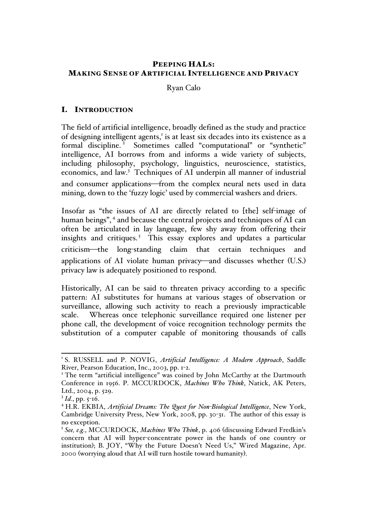# PEEPING HALS: MAKING SENSE OF ARTIFICIAL INTELLIGENCE AND PRIVACY

#### Ryan Calo

# I. INTRODUCTION

The field of artificial intelligence, broadly defined as the study and practice of designing intelligent agents,<sup>1</sup> is at least six decades into its existence as a formal discipline.<sup>2</sup> Sometimes called "computational" or "synthetic" intelligence, AI borrows from and informs a wide variety of subjects, including philosophy, psychology, linguistics, neuroscience, statistics, economics, and law.<sup>3</sup> Techniques of AI underpin all manner of industrial and consumer applications—from the complex neural nets used in data mining, down to the 'fuzzy logic' used by commercial washers and driers.

Insofar as "the issues of AI are directly related to [the] self-image of human beings", <sup>4</sup> and because the central projects and techniques of AI can often be articulated in lay language, few shy away from offering their insights and critiques.<sup>5</sup> This essay explores and updates a particular criticism—the long-standing claim that certain techniques and applications of AI violate human privacy—and discusses whether (U.S.) privacy law is adequately positioned to respond.

Historically, AI can be said to threaten privacy according to a specific pattern: AI substitutes for humans at various stages of observation or surveillance, allowing such activity to reach a previously impracticable scale. Whereas once telephonic surveillance required one listener per phone call, the development of voice recognition technology permits the substitution of a computer capable of monitoring thousands of calls

<sup>&</sup>lt;sup>1</sup> S. RUSSELL and P. NOVIG, Artificial Intelligence: A Modern Approach, Saddle River, Pearson Education, Inc., 2003, pp. 1-2.<br><sup>2</sup> The term "artificial intelligence" was coined by John McCarthy at the Dartmouth

Conference in 1956. P. MCCURDOCK, *Machines Who Think*, Natick, AK Peters, Ltd., 2004, p. 529.

 $3$  *Id.*, pp. 5-16.

<sup>4</sup> H.R. EKBIA, *Artificial Dreams: The Quest for Non-Biological Intelligence*, New York, Cambridge University Press, New York, 2008, pp. 30-31. The author of this essay is no exception.

<sup>5</sup> *See, e.g.*, MCCURDOCK, *Machines Who Think*, p. 406 (discussing Edward Fredkin's concern that AI will hyper-concentrate power in the hands of one country or institution); B. JOY, "Why the Future Doesn't Need Us," Wired Magazine, Apr. 2000 (worrying aloud that AI will turn hostile toward humanity).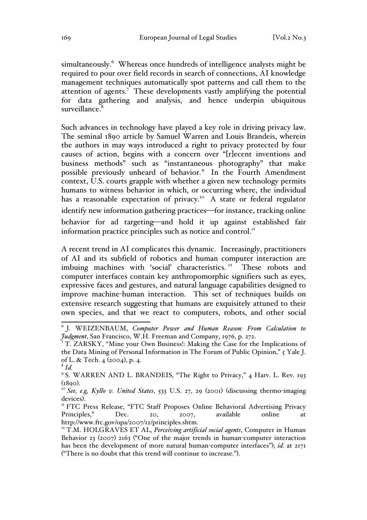simultaneously.<sup>6</sup> Whereas once hundreds of intelligence analysts might be required to pour over field records in search of connections, AI knowledge management techniques automatically spot patterns and call them to the attention of agents.<sup>7</sup> These developments vastly amplifying the potential for data gathering and analysis, and hence underpin ubiquitous surveillance.

Such advances in technology have played a key role in driving privacy law. The seminal 1890 article by Samuel Warren and Louis Brandeis, wherein the authors in may ways introduced a right to privacy protected by four causes of action, begins with a concern over "[r]ecent inventions and business methods" such as "instantaneous photography" that make possible previously unheard of behavior.<sup>9</sup> In the Fourth Amendment context, U.S. courts grapple with whether a given new technology permits humans to witness behavior in which, or occurring where, the individual has a reasonable expectation of privacy.<sup>10</sup> A state or federal regulator identify new information gathering practices—for instance, tracking online behavior for ad targeting-and hold it up against established fair information practice principles such as notice and control.<sup>11</sup>

A recent trend in AI complicates this dynamic. Increasingly, practitioners of AI and its subfield of robotics and human computer interaction are imbuing machines with 'social' characteristics.<sup>12</sup> These robots and computer interfaces contain key anthropomorphic signifiers such as eyes, expressive faces and gestures, and natural language capabilities designed to improve machine-human interaction. This set of techniques builds on extensive research suggesting that humans are exquisitely attuned to their own species, and that we react to computers, robots, and other social

 <sup>6</sup> J. WEIZENBAUM, *Computer Power and Human Reason: From Calculation to Judgment*, San Francisco, W.H. Freeman and Company, 1976, p. 272.

<sup>&</sup>lt;sup>7</sup> T. ZARSKY, "Mine your Own Business!: Making the Case for the Implications of the Data Mining of Personal Information in The Forum of Public Opinion," 5 Yale J. of L. & Tech. 4 (2004), p. 4. <sup>8</sup> *Id.*

<sup>&</sup>lt;sup>9</sup> S. WARREN AND L. BRANDEIS, "The Right to Privacy," 4 Harv. L. Rev. 193 (1890). <sup>10</sup> *See, e.g, Kyllo v. United States*, 533 U.S. 27, 29 (2001) (discussing thermo-imaging

devices).<br>"FTC Press Release, "FTC Staff Proposes Online Behavioral Advertising Privacy Principles," Dec. 20, 2007, available online at http://www.ftc.gov/opa/2007/12/principles.shtm.

<sup>&</sup>lt;sup>12</sup> T.M. HOLGRAVES ET AL, *Perceiving artificial social agents*, Computer in Human Behavior 23 (2007) 2163 ("One of the major trends in human-computer interaction has been the development of more natural human-computer interfaces"); *id.* at 2171 ("There is no doubt that this trend will continue to increase.").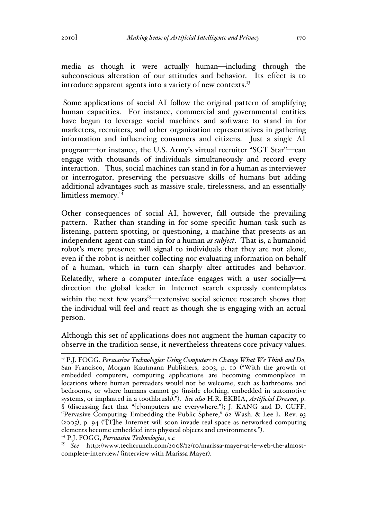media as though it were actually human—including through the subconscious alteration of our attitudes and behavior. Its effect is to introduce apparent agents into a variety of new contexts.<sup>13</sup>

Some applications of social AI follow the original pattern of amplifying human capacities. For instance, commercial and governmental entities have begun to leverage social machines and software to stand in for marketers, recruiters, and other organization representatives in gathering information and influencing consumers and citizens. Just a single AI program—for instance, the U.S. Army's virtual recruiter "SGT Star"—can engage with thousands of individuals simultaneously and record every interaction. Thus, social machines can stand in for a human as interviewer or interrogator, preserving the persuasive skills of humans but adding additional advantages such as massive scale, tirelessness, and an essentially limitless memory.<sup>14</sup>

Other consequences of social AI, however, fall outside the prevailing pattern. Rather than standing in for some specific human task such as listening, pattern-spotting, or questioning, a machine that presents as an independent agent can stand in for a human *as subject*. That is, a humanoid robot's mere presence will signal to individuals that they are not alone, even if the robot is neither collecting nor evaluating information on behalf of a human, which in turn can sharply alter attitudes and behavior. Relatedly, where a computer interface engages with a user socially—a direction the global leader in Internet search expressly contemplates within the next few years<sup>15</sup>—extensive social science research shows that the individual will feel and react as though she is engaging with an actual person.

Although this set of applications does not augment the human capacity to observe in the tradition sense, it nevertheless threatens core privacy values.

 <sup>13</sup> P.J. FOGG, *Persuasive Technologies: Using Computers to Change What We Think and Do,* San Francisco, Morgan Kaufmann Publishers, 2003, p. 10 ("With the growth of embedded computers, computing applications are becoming commonplace in locations where human persuaders would not be welcome, such as bathrooms and bedrooms, or where humans cannot go (inside clothing, embedded in automotive systems, or implanted in a toothbrush)."). *See also* H.R. EKBIA, *Artificial Dreams*, p. 8 (discussing fact that "[c]omputers are everywhere."); J. KANG and D. CUFF, "Pervasive Computing: Embedding the Public Sphere," 62 Wash. & Lee L. Rev. 93  $(2005)$ , p. 94 ("The Internet will soon invade real space as networked computing elements become embedded into physical objects and environments."). <sup>14</sup> P.J. FOGG, *Persuasive Technologies*, *o.c.*

<sup>15</sup> *See* http://www.techcrunch.com/2008/12/10/marissa-mayer-at-le-web-the-almostcomplete-interview/ (interview with Marissa Mayer).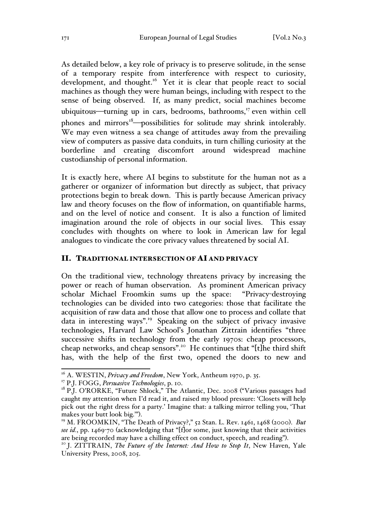As detailed below, a key role of privacy is to preserve solitude, in the sense of a temporary respite from interference with respect to curiosity, development, and thought.<sup>16</sup> Yet it is clear that people react to social machines as though they were human beings, including with respect to the sense of being observed. If, as many predict, social machines become ubiquitous—turning up in cars, bedrooms, bathrooms, $17$  even within cell phones and mirrors<sup>18</sup>-possibilities for solitude may shrink intolerably. We may even witness a sea change of attitudes away from the prevailing view of computers as passive data conduits, in turn chilling curiosity at the borderline and creating discomfort around widespread machine custodianship of personal information.

It is exactly here, where AI begins to substitute for the human not as a gatherer or organizer of information but directly as subject, that privacy protections begin to break down. This is partly because American privacy law and theory focuses on the flow of information, on quantifiable harms, and on the level of notice and consent. It is also a function of limited imagination around the role of objects in our social lives. This essay concludes with thoughts on where to look in American law for legal analogues to vindicate the core privacy values threatened by social AI.

#### II. TRADITIONAL INTERSECTION OF AI AND PRIVACY

On the traditional view, technology threatens privacy by increasing the power or reach of human observation. As prominent American privacy scholar Michael Froomkin sums up the space: "Privacy-destroying technologies can be divided into two categories: those that facilitate the acquisition of raw data and those that allow one to process and collate that data in interesting ways".19 Speaking on the subject of privacy invasive technologies, Harvard Law School's Jonathan Zittrain identifies "three successive shifts in technology from the early 1970s: cheap processors, cheap networks, and cheap sensors".20 He continues that "[t]he third shift has, with the help of the first two, opened the doors to new and

<sup>&</sup>lt;sup>16</sup> A. WESTIN, *Privacy and Freedom*, New York, Antheum 1970, p. 35.

<sup>&</sup>lt;sup>17</sup> P.J. FOGG, *Persuasive Technologies*, p. 10.<br><sup>18</sup> P.J. O'RORKE, "Future Shlock," The Atlantic, Dec. 2008 ("Various passages had caught my attention when I'd read it, and raised my blood pressure: 'Closets will help pick out the right dress for a party.' Imagine that: a talking mirror telling you, 'That makes your butt look big.'"). <sup>19</sup> M. FROOMKIN, "The Death of Privacy?," 52 Stan. L. Rev. 1461, 1468 (2000). *But* 

*see id.*, pp. 1469-70 (acknowledging that "[f]or some, just knowing that their activities are being recorded may have a chilling effect on conduct, speech, and reading").

<sup>&</sup>lt;sup>20</sup> J. ZITTRAIN, The Future of the Internet: And How to Stop It, New Haven, Yale University Press, 2008, 205.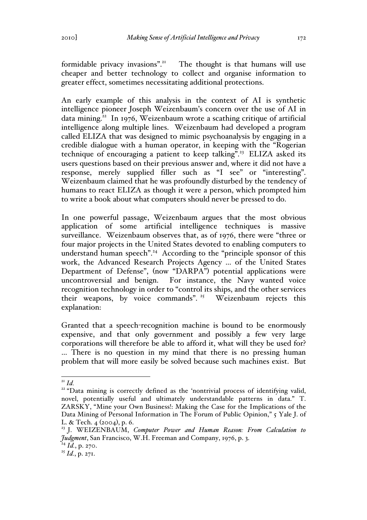formidable privacy invasions".<sup>21</sup> The thought is that humans will use cheaper and better technology to collect and organise information to greater effect, sometimes necessitating additional protections.

An early example of this analysis in the context of AI is synthetic intelligence pioneer Joseph Weizenbaum's concern over the use of AI in data mining.<sup>22</sup> In 1976, Weizenbaum wrote a scathing critique of artificial intelligence along multiple lines. Weizenbaum had developed a program called ELIZA that was designed to mimic psychoanalysis by engaging in a credible dialogue with a human operator, in keeping with the "Rogerian technique of encouraging a patient to keep talking".<sup>23</sup> ELIZA asked its users questions based on their previous answer and, where it did not have a response, merely supplied filler such as "I see" or "interesting". Weizenbaum claimed that he was profoundly disturbed by the tendency of humans to react ELIZA as though it were a person, which prompted him to write a book about what computers should never be pressed to do.

In one powerful passage, Weizenbaum argues that the most obvious application of some artificial intelligence techniques is massive surveillance. Weizenbaum observes that, as of 1976, there were "three or four major projects in the United States devoted to enabling computers to understand human speech".<sup>24</sup> According to the "principle sponsor of this work, the Advanced Research Projects Agency … of the United States Department of Defense", (now "DARPA") potential applications were uncontroversial and benign. For instance, the Navy wanted voice recognition technology in order to "control its ships, and the other services their weapons, by voice commands". 25 Weizenbaum rejects this explanation:

Granted that a speech-recognition machine is bound to be enormously expensive, and that only government and possibly a few very large corporations will therefore be able to afford it, what will they be used for? … There is no question in my mind that there is no pressing human problem that will more easily be solved because such machines exist. But

<sup>&</sup>lt;sup>21</sup> *Id.* <sup>22</sup> "Data mining is correctly defined as the 'nontrivial process of identifying valid, novel, potentially useful and ultimately understandable patterns in data." T. ZARSKY, "Mine your Own Business!: Making the Case for the Implications of the Data Mining of Personal Information in The Forum of Public Opinion," 5 Yale J. of L. & Tech. 4 (2004), p. 6.

<sup>23</sup> J. WEIZENBAUM, *Computer Power and Human Reason: From Calculation to Judgment*, San Francisco, W.H. Freeman and Company, 1976, p. 3.

<sup>24</sup> *Id.*, p. 270.

<sup>25</sup> *Id.*, p. 271.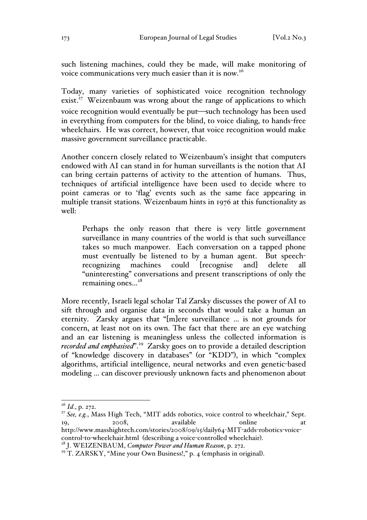such listening machines, could they be made, will make monitoring of voice communications very much easier than it is now.<sup>26</sup>

Today, many varieties of sophisticated voice recognition technology exist. $27$  Weizenbaum was wrong about the range of applications to which voice recognition would eventually be put—such technology has been used in everything from computers for the blind, to voice dialing, to hands-free wheelchairs. He was correct, however, that voice recognition would make massive government surveillance practicable.

Another concern closely related to Weizenbaum's insight that computers endowed with AI can stand in for human surveillants is the notion that AI can bring certain patterns of activity to the attention of humans. Thus, techniques of artificial intelligence have been used to decide where to point cameras or to 'flag' events such as the same face appearing in multiple transit stations. Weizenbaum hints in 1976 at this functionality as well:

Perhaps the only reason that there is very little government surveillance in many countries of the world is that such surveillance takes so much manpower. Each conversation on a tapped phone must eventually be listened to by a human agent. But speechrecognizing machines could [recognise and] delete all "uninteresting" conversations and present transcriptions of only the remaining ones...<sup>28</sup>

More recently, Israeli legal scholar Tal Zarsky discusses the power of AI to sift through and organise data in seconds that would take a human an eternity. Zarsky argues that "[m]ere surveillance … is not grounds for concern, at least not on its own. The fact that there are an eye watching and an ear listening is meaningless unless the collected information is *recorded and emphasised*".29 Zarsky goes on to provide a detailed description of "knowledge discovery in databases" (or "KDD"), in which "complex algorithms, artificial intelligence, neural networks and even genetic-based modeling … can discover previously unknown facts and phenomenon about

 <sup>26</sup> *Id.*, p. 272.

<sup>&</sup>lt;sup>27</sup> See, e.g., Mass High Tech, "MIT adds robotics, voice control to wheelchair," Sept. 19, 2008, available online at http://www.masshightech.com/stories/2008/09/15/daily64-MIT-adds-robotics-voicecontrol-to-wheelchair.html (describing a voice-controlled wheelchair). <sup>28</sup> J. WEIZENBAUM, *Computer Power and Human Reason*, p. 272.

<sup>&</sup>lt;sup>29</sup> T. ZARSKY, "Mine your Own Business!," p. 4 (emphasis in original).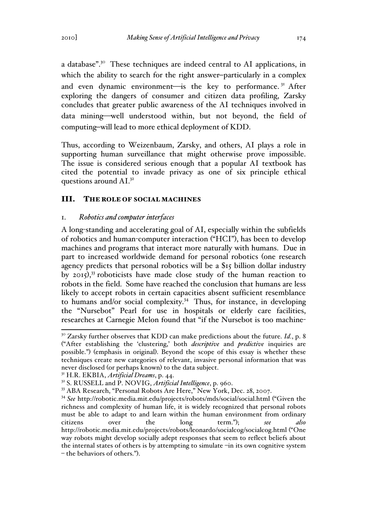a database".30 These techniques are indeed central to AI applications, in which the ability to search for the right answer-particularly in a complex and even dynamic environment-is the key to performance.<sup>31</sup> After exploring the dangers of consumer and citizen data profiling, Zarsky concludes that greater public awareness of the AI techniques involved in data mining—well understood within, but not beyond, the field of computing–will lead to more ethical deployment of KDD.

Thus, according to Weizenbaum, Zarsky, and others, AI plays a role in supporting human surveillance that might otherwise prove impossible. The issue is considered serious enough that a popular AI textbook has cited the potential to invade privacy as one of six principle ethical questions around AI.<sup>32</sup>

#### III. THE ROLE OF SOCIAL MACHINES

### 1. *Robotics and computer interfaces*

A long-standing and accelerating goal of AI, especially within the subfields of robotics and human-computer interaction ("HCI"), has been to develop machines and programs that interact more naturally with humans. Due in part to increased worldwide demand for personal robotics (one research agency predicts that personal robotics will be a \$15 billion dollar industry by 2015), <sup>33</sup> roboticists have made close study of the human reaction to robots in the field. Some have reached the conclusion that humans are less likely to accept robots in certain capacities absent sufficient resemblance to humans and/or social complexity.<sup>34</sup> Thus, for instance, in developing the "Nursebot" Pearl for use in hospitals or elderly care facilities, researches at Carnegie Melon found that "if the Nursebot is too machine-

 $30^{\circ}$  Zarsky further observes that KDD can make predictions about the future. *Id.*, p. 8 ("After establishing the 'clustering,' both *descriptive* and *predictive* inquiries are possible.") (emphasis in original). Beyond the scope of this essay is whether these techniques create new categories of relevant, invasive personal information that was never disclosed (or perhaps known) to the data subject.

<sup>31</sup> H.R. EKBIA, *Artificial Dreams*, p. 44.

<sup>32</sup> S. RUSSELL and P. NOVIG, *Artificial Intelligence*, p. 960.

<sup>33</sup> ABA Research, "Personal Robots Are Here," New York, Dec. 28, 2007.

<sup>34</sup> *See* http://robotic.media.mit.edu/projects/robots/mds/social/social.html ("Given the richness and complexity of human life, it is widely recognized that personal robots must be able to adapt to and learn within the human environment from ordinary citizens over the long term."); *see also* http://robotic.media.mit.edu/projects/robots/leonardo/socialcog/socialcog.html ("One way robots might develop socially adept responses that seem to reflect beliefs about the internal states of others is by attempting to simulate –in its own cognitive system – the behaviors of others.").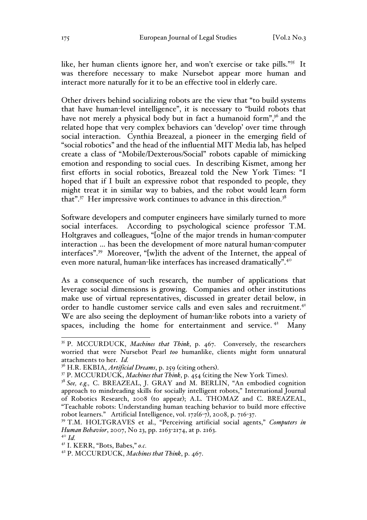like, her human clients ignore her, and won't exercise or take pills."<sup>35</sup> It was therefore necessary to make Nursebot appear more human and interact more naturally for it to be an effective tool in elderly care.

Other drivers behind socializing robots are the view that "to build systems that have human-level intelligence", it is necessary to "build robots that have not merely a physical body but in fact a humanoid form", $36$  and the related hope that very complex behaviors can 'develop' over time through social interaction. Cynthia Breazeal, a pioneer in the emerging field of "social robotics" and the head of the influential MIT Media lab, has helped create a class of "Mobile/Dexterous/Social" robots capable of mimicking emotion and responding to social cues. In describing Kismet, among her first efforts in social robotics, Breazeal told the New York Times: "I hoped that if I built an expressive robot that responded to people, they might treat it in similar way to babies, and the robot would learn form that".<sup>37</sup> Her impressive work continues to advance in this direction.<sup>38</sup>

Software developers and computer engineers have similarly turned to more social interfaces. According to psychological science professor T.M. Holtgraves and colleagues, "[o]ne of the major trends in human-computer interaction … has been the development of more natural human-computer interfaces".39 Moreover, "[w]ith the advent of the Internet, the appeal of even more natural, human-like interfaces has increased dramatically".<sup>40</sup>

As a consequence of such research, the number of applications that leverage social dimensions is growing. Companies and other institutions make use of virtual representatives, discussed in greater detail below, in order to handle customer service calls and even sales and recruitment.<sup>41</sup> We are also seeing the deployment of human-like robots into a variety of spaces, including the home for entertainment and service.<sup> $42$ </sup> Many

 <sup>35</sup> P. MCCURDUCK, *Machines that Think*, p. 467. Conversely, the researchers worried that were Nursebot Pearl *too* humanlike, clients might form unnatural attachments to her. *Id.*<br><sup>36</sup> H.R. EKBIA, *Artificial Dreams*, p. 259 (citing others).

<sup>&</sup>lt;sup>37</sup> P. MCCURDUCK, *Machines that Think*, p. 454 (citing the New York Times).<br><sup>38</sup> See, e.g., C. BREAZEAL, J. GRAY and M. BERLIN, "An embodied cognition

approach to mindreading skills for socially intelligent robots," International Journal of Robotics Research, 2008 (to appear); A.L. THOMAZ and C. BREAZEAL, "Teachable robots: Understanding human teaching behavior to build more effective robot learners." Artificial Intelligence, vol. 172(6-7), 2008, p. 716-37.

<sup>&</sup>lt;sup>39</sup> T.M. HOLTGRAVES et al., "Perceiving artificial social agents," *Computers in Human Behavior*, 2007, No 23, pp. 2163-2174, at p. 2163.

<sup>40</sup> *Id.*

<sup>41</sup> I. KERR, "Bots, Babes," *o.c.*

<sup>42</sup> P. MCCURDUCK, *Machines that Think*, p. 467.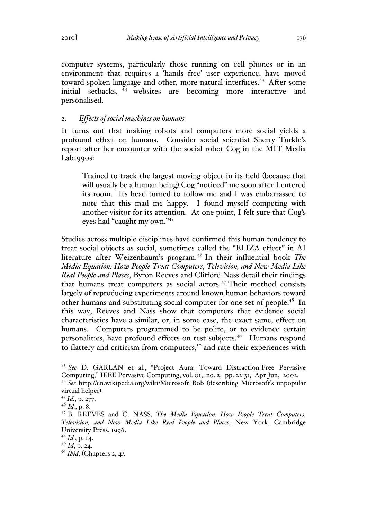computer systems, particularly those running on cell phones or in an environment that requires a 'hands free' user experience, have moved toward spoken language and other, more natural interfaces.<sup>43</sup> After some initial setbacks, <sup>44</sup> websites are becoming more interactive and personalised.

### 2. *Effects of social machines on humans*

It turns out that making robots and computers more social yields a profound effect on humans. Consider social scientist Sherry Turkle's report after her encounter with the social robot Cog in the MIT Media Lab<sub>1990s</sub>:

Trained to track the largest moving object in its field (because that will usually be a human being) Cog "noticed" me soon after I entered its room. Its head turned to follow me and I was embarrassed to note that this mad me happy. I found myself competing with another visitor for its attention. At one point, I felt sure that Cog's eyes had "caught my own."<sup>45</sup>

Studies across multiple disciplines have confirmed this human tendency to treat social objects as social, sometimes called the "ELIZA effect" in AI literature after Weizenbaum's program.<sup>46</sup> In their influential book *The Media Equation: How People Treat Computers, Television, and New Media Like Real People and Places*, Byron Reeves and Clifford Nass detail their findings that humans treat computers as social actors.<sup>47</sup> Their method consists largely of reproducing experiments around known human behaviors toward other humans and substituting social computer for one set of people.<sup>48</sup> In this way, Reeves and Nass show that computers that evidence social characteristics have a similar, or, in some case, the exact same, effect on humans. Computers programmed to be polite, or to evidence certain personalities, have profound effects on test subjects.49 Humans respond to flattery and criticism from computers,<sup>50</sup> and rate their experiences with

 <sup>43</sup> *See* D. GARLAN et al., "Project Aura: Toward Distraction-Free Pervasive Computing," IEEE Pervasive Computing, vol. 01, no. 2, pp. 22-31, Apr-Jun, 2002.

<sup>44</sup> *See* http://en.wikipedia.org/wiki/Microsoft\_Bob (describing Microsoft's unpopular virtual helper). <sup>45</sup> *Id.*, p. 277.

<sup>46</sup> *Id.*, p. 8.

<sup>47</sup> B. REEVES and C. NASS, *The Media Equation: How People Treat Computers, Television, and New Media Like Real People and Places*, New York, Cambridge University Press, 1996.

 $^{48}$  *Id.*, p. 14.

<sup>49</sup> *Id*, p. 24.

<sup>50</sup> *Ibid*. (Chapters 2, 4).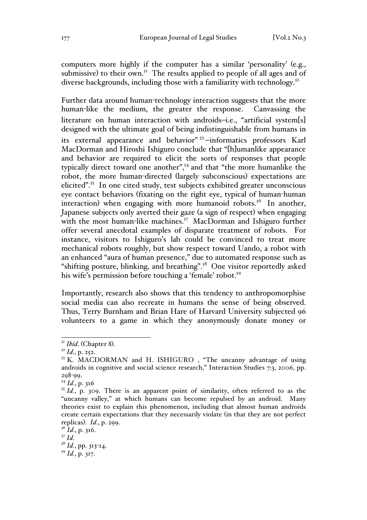computers more highly if the computer has a similar 'personality' (e.g., submissive) to their own.<sup>51</sup> The results applied to people of all ages and of diverse backgrounds, including those with a familiarity with technology.<sup>52</sup>

Further data around human-technology interaction suggests that the more human-like the medium, the greater the response. Canvassing the literature on human interaction with androids-i.e., "artificial system[s] designed with the ultimate goal of being indistinguishable from humans in its external appearance and behavior"<sup>53</sup>-informatics professors Karl MacDorman and Hiroshi Ishiguro conclude that "[h]umanlike appearance and behavior are required to elicit the sorts of responses that people typically direct toward one another",54 and that "the more humanlike the robot, the more human-directed (largely subconscious) expectations are elicited".55 In one cited study, test subjects exhibited greater unconscious eye contact behaviors (fixating on the right eye, typical of human-human interaction) when engaging with more humanoid robots.<sup>56</sup> In another, Japanese subjects only averted their gaze (a sign of respect) when engaging with the most human-like machines.<sup>57</sup> MacDorman and Ishiguro further offer several anecdotal examples of disparate treatment of robots. For instance, visitors to Ishiguro's lab could be convinced to treat more mechanical robots roughly, but show respect toward Uando, a robot with an enhanced "aura of human presence," due to automated response such as "shifting posture, blinking, and breathing".<sup>58</sup> One visitor reportedly asked his wife's permission before touching a 'female' robot.<sup>59</sup>

Importantly, research also shows that this tendency to anthropomorphise social media can also recreate in humans the sense of being observed. Thus, Terry Burnham and Brian Hare of Harvard University subjected 96 volunteers to a game in which they anonymously donate money or

<sup>51</sup> *Ibid*. (Chapter 8). <sup>52</sup> *Id.*, p. 252.

<sup>53</sup> K. MACDORMAN and H. ISHIGURO , "The uncanny advantage of using androids in cognitive and social science research," Interaction Studies 7:3, 2006, pp. 298-99.

<sup>54</sup> *Id.*, p. 316

 $55$  *Id.*, p. 309. There is an apparent point of similarity, often referred to as the "uncanny valley," at which humans can become repulsed by an android. Many theories exist to explain this phenomenon, including that almost human androids create certain expectations that they necessarily violate (in that they are not perfect replicas). *Id.*, p. 299.

 $\int_{57}^{56}$ *Id.*, p. 316.

<sup>57</sup> *Id*. <sup>58</sup> *Id.*, pp. 313-14.

<sup>59</sup> *Id.*, p. 317.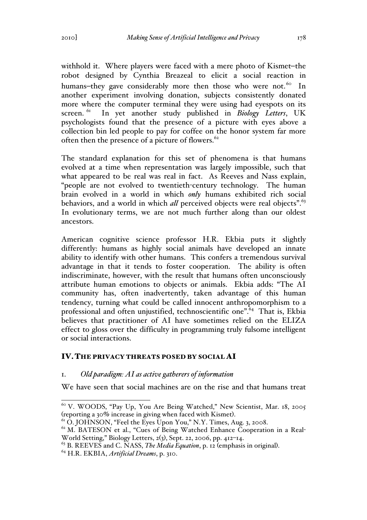withhold it. Where players were faced with a mere photo of Kismet-the robot designed by Cynthia Breazeal to elicit a social reaction in humans-they gave considerably more then those who were not.<sup>60</sup> In another experiment involving donation, subjects consistently donated more where the computer terminal they were using had eyespots on its screen. <sup>61</sup> In yet another study published in *Biology Letters*, UK psychologists found that the presence of a picture with eyes above a collection bin led people to pay for coffee on the honor system far more often then the presence of a picture of flowers.<sup>62</sup>

The standard explanation for this set of phenomena is that humans evolved at a time when representation was largely impossible, such that what appeared to be real was real in fact. As Reeves and Nass explain, "people are not evolved to twentieth-century technology. The human brain evolved in a world in which *only* humans exhibited rich social behaviors, and a world in which *all* perceived objects were real objects".<sup>63</sup> In evolutionary terms, we are not much further along than our oldest ancestors.

American cognitive science professor H.R. Ekbia puts it slightly differently: humans as highly social animals have developed an innate ability to identify with other humans. This confers a tremendous survival advantage in that it tends to foster cooperation. The ability is often indiscriminate, however, with the result that humans often unconsciously attribute human emotions to objects or animals. Ekbia adds: "The AI community has, often inadvertently, taken advantage of this human tendency, turning what could be called innocent anthropomorphism to a professional and often unjustified, technoscientific one".<sup>64</sup> That is, Ekbia believes that practitioner of AI have sometimes relied on the ELIZA effect to gloss over the difficulty in programming truly fulsome intelligent or social interactions.

## IV.THE PRIVACY THREATS POSED BY SOCIAL AI

#### 1. *Old paradigm: AI as active gatherers of information*

We have seen that social machines are on the rise and that humans treat

 <sup>60</sup> V. WOODS, "Pay Up, You Are Being Watched," New Scientist, Mar. 18, 2005 (reporting a 30% increase in giving when faced with Kismet).<br><sup>61</sup> O. JOHNSON, "Feel the Eyes Upon You," N.Y. Times, Aug. 3, 2008.<br><sup>62</sup> M. BATESON et al., "Cues of Being Watched Enhance Cooperation in a Real-

World Setting," Biology Letters, 2(3), Sept. 22, 2006, pp. 412–14.

<sup>63</sup> B. REEVES and C. NASS, *The Media Equation*, p. 12 (emphasis in original). <sup>64</sup> H.R. EKBIA, *Artificial Dreams*, p. 310.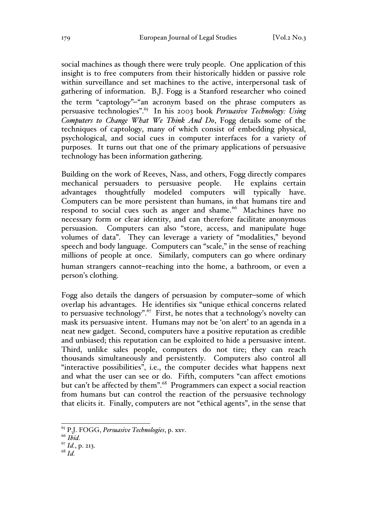social machines as though there were truly people. One application of this insight is to free computers from their historically hidden or passive role within surveillance and set machines to the active, interpersonal task of gathering of information. B.J. Fogg is a Stanford researcher who coined the term "captology"-"an acronym based on the phrase computers as persuasive technologies".65 In his 2003 book *Persuasive Technology: Using Computers to Change What We Think And Do*, Fogg details some of the techniques of captology, many of which consist of embedding physical, psychological, and social cues in computer interfaces for a variety of purposes. It turns out that one of the primary applications of persuasive technology has been information gathering.

Building on the work of Reeves, Nass, and others, Fogg directly compares mechanical persuaders to persuasive people. He explains certain advantages thoughtfully modeled computers will typically have. Computers can be more persistent than humans, in that humans tire and respond to social cues such as anger and shame.<sup>66</sup> Machines have no necessary form or clear identity, and can therefore facilitate anonymous persuasion. Computers can also "store, access, and manipulate huge volumes of data". They can leverage a variety of "modalities," beyond speech and body language. Computers can "scale," in the sense of reaching millions of people at once. Similarly, computers can go where ordinary human strangers cannot-reaching into the home, a bathroom, or even a person's clothing.

Fogg also details the dangers of persuasion by computer–some of which overlap his advantages. He identifies six "unique ethical concerns related to persuasive technology".<sup>67</sup> First, he notes that a technology's novelty can mask its persuasive intent. Humans may not be 'on alert' to an agenda in a neat new gadget. Second, computers have a positive reputation as credible and unbiased; this reputation can be exploited to hide a persuasive intent. Third, unlike sales people, computers do not tire; they can reach thousands simultaneously and persistently. Computers also control all "interactive possibilities", i.e., the computer decides what happens next and what the user can see or do. Fifth, computers "can affect emotions but can't be affected by them".<sup>68</sup> Programmers can expect a social reaction from humans but can control the reaction of the persuasive technology that elicits it. Finally, computers are not "ethical agents", in the sense that

<sup>68</sup> *Id.*

 <sup>65</sup> P.J. FOGG, *Persuasive Technologies*, p. xxv.

<sup>66</sup> *Ibid.*

<sup>67</sup> *Id.*, p. 213.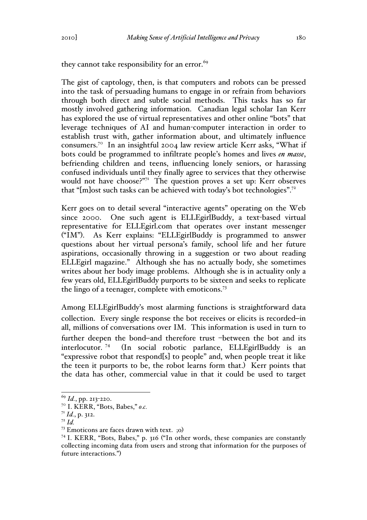they cannot take responsibility for an error. $69$ 

The gist of captology, then, is that computers and robots can be pressed into the task of persuading humans to engage in or refrain from behaviors through both direct and subtle social methods. This tasks has so far mostly involved gathering information. Canadian legal scholar Ian Kerr has explored the use of virtual representatives and other online "bots" that leverage techniques of AI and human-computer interaction in order to establish trust with, gather information about, and ultimately influence consumers.70 In an insightful 2004 law review article Kerr asks, "What if bots could be programmed to infiltrate people's homes and lives *en masse*, befriending children and teens, influencing lonely seniors, or harassing confused individuals until they finally agree to services that they otherwise would not have choose?" 71 The question proves a set up: Kerr observes that "[m]ost such tasks can be achieved with today's bot technologies".72

Kerr goes on to detail several "interactive agents" operating on the Web since 2000. One such agent is ELLEgirlBuddy, a text-based virtual representative for ELLEgirl.com that operates over instant messenger ("IM"). As Kerr explains: "ELLEgirlBuddy is programmed to answer questions about her virtual persona's family, school life and her future aspirations, occasionally throwing in a suggestion or two about reading ELLEgirl magazine." Although she has no actually body, she sometimes writes about her body image problems. Although she is in actuality only a few years old, ELLEgirlBuddy purports to be sixteen and seeks to replicate the lingo of a teenager, complete with emoticons.<sup>73</sup>

Among ELLEgirlBuddy's most alarming functions is straightforward data collection. Every single response the bot receives or elicits is recorded-in all, millions of conversations over IM. This information is used in turn to further deepen the bond-and therefore trust -between the bot and its interlocutor. 74 (In social robotic parlance, ELLEgirlBuddy is an "expressive robot that respond[s] to people" and, when people treat it like the teen it purports to be, the robot learns form that.) Kerr points that the data has other, commercial value in that it could be used to target

 <sup>69</sup> *Id.*, pp. 213-220.

<sup>70</sup> I. KERR, "Bots, Babes," *o.c.*

<sup>71</sup> *Id.*, p. 312.

<sup>72</sup> *Id.*

<sup>73</sup> Emoticons are faces drawn with text. ;o)

 $74$  I. KERR, "Bots, Babes," p. 316 ("In other words, these companies are constantly collecting incoming data from users and strong that information for the purposes of future interactions.")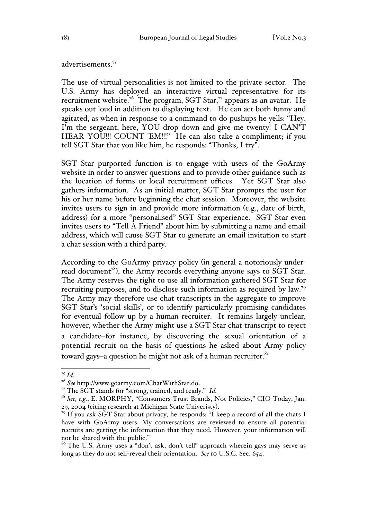advertisements.<sup>75</sup>

The use of virtual personalities is not limited to the private sector. The U.S. Army has deployed an interactive virtual representative for its recruitment website.<sup>76</sup> The program, SGT Star,<sup>77</sup> appears as an avatar. He speaks out loud in addition to displaying text. He can act both funny and agitated, as when in response to a command to do pushups he yells: "Hey, I'm the sergeant, here, YOU drop down and give me twenty! I CAN'T HEAR YOU!!! COUNT 'EM!!!" He can also take a compliment; if you tell SGT Star that you like him, he responds: "Thanks, I try".

SGT Star purported function is to engage with users of the GoArmy website in order to answer questions and to provide other guidance such as the location of forms or local recruitment offices. Yet SGT Star also gathers information. As an initial matter, SGT Star prompts the user for his or her name before beginning the chat session. Moreover, the website invites users to sign in and provide more information (e.g., date of birth, address) for a more "personalised" SGT Star experience. SGT Star even invites users to "Tell A Friend" about him by submitting a name and email address, which will cause SGT Star to generate an email invitation to start a chat session with a third party.

According to the GoArmy privacy policy (in general a notoriously underread document<sup>78</sup>), the Army records everything anyone says to SGT Star. The Army reserves the right to use all information gathered SGT Star for recruiting purposes, and to disclose such information as required by law.79 The Army may therefore use chat transcripts in the aggregate to improve SGT Star's 'social skills', or to identify particularly promising candidates for eventual follow up by a human recruiter. It remains largely unclear, however, whether the Army might use a SGT Star chat transcript to reject a candidate-for instance, by discovering the sexual orientation of a potential recruit on the basis of questions he asked about Army policy toward gays-a question he might not ask of a human recruiter. $80^\circ$ 

<sup>&</sup>lt;sup>75</sup> *Id.*<br><sup>76</sup> See http://www.goarmy.com/ChatWithStar.do.

<sup>&</sup>lt;sup>77</sup> The SGT stands for "strong, trained, and ready." *Id.* 

<sup>78</sup> *See, e.g.*, E. MORPHY, "Consumers Trust Brands, Not Policies," CIO Today, Jan.

<sup>29, 2004</sup> (citing research at Michigan State Univeristy). 79 If you ask SGT Star about privacy, he responds: "I keep a record of all the chats I have with GoArmy users. My conversations are reviewed to ensure all potential recruits are getting the information that they need. However, your information will not be shared with the public."

<sup>&</sup>lt;sup>80</sup> The U.S. Army uses a "don't ask, don't tell" approach wherein gays may serve as long as they do not self-reveal their orientation. *See* 10 U.S.C. Sec. 654.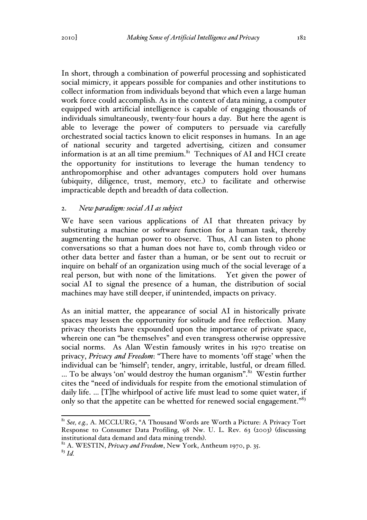In short, through a combination of powerful processing and sophisticated social mimicry, it appears possible for companies and other institutions to collect information from individuals beyond that which even a large human work force could accomplish. As in the context of data mining, a computer equipped with artificial intelligence is capable of engaging thousands of individuals simultaneously, twenty-four hours a day. But here the agent is able to leverage the power of computers to persuade via carefully orchestrated social tactics known to elicit responses in humans. In an age of national security and targeted advertising, citizen and consumer information is at an all time premium. $81$  Techniques of AI and HCI create the opportunity for institutions to leverage the human tendency to anthropomorphise and other advantages computers hold over humans (ubiquity, diligence, trust, memory, etc.) to facilitate and otherwise impracticable depth and breadth of data collection.

## 2. *New paradigm: social AI as subject*

We have seen various applications of AI that threaten privacy by substituting a machine or software function for a human task, thereby augmenting the human power to observe. Thus, AI can listen to phone conversations so that a human does not have to, comb through video or other data better and faster than a human, or be sent out to recruit or inquire on behalf of an organization using much of the social leverage of a real person, but with none of the limitations. Yet given the power of social AI to signal the presence of a human, the distribution of social machines may have still deeper, if unintended, impacts on privacy.

As an initial matter, the appearance of social AI in historically private spaces may lessen the opportunity for solitude and free reflection. Many privacy theorists have expounded upon the importance of private space, wherein one can "be themselves" and even transgress otherwise oppressive social norms. As Alan Westin famously writes in his 1970 treatise on privacy, *Privacy and Freedom*: "There have to moments 'off stage' when the individual can be 'himself'; tender, angry, irritable, lustful, or dream filled. ... To be always 'on' would destroy the human organism".<sup>82</sup> Westin further cites the "need of individuals for respite from the emotional stimulation of daily life. … [T]he whirlpool of active life must lead to some quiet water, if only so that the appetite can be whetted for renewed social engagement."<sup>83</sup>

 <sup>81</sup> *See, e.g.,* A. MCCLURG, "A Thousand Words are Worth a Picture: A Privacy Tort Response to Consumer Data Profiling, 98 Nw. U. L. Rev. 63 (2003) (discussing

institutional data demand and data mining trends). <sup>82</sup> A. WESTIN, *Privacy and Freedom*, New York, Antheum 1970, p. 35.

<sup>83</sup> *Id.*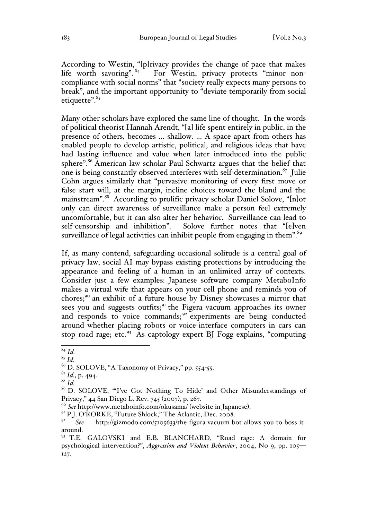According to Westin, "[p]rivacy provides the change of pace that makes life worth savoring". <sup>84</sup> For Westin, privacy protects "minor non-For Westin, privacy protects "minor noncompliance with social norms" that "society really expects many persons to break", and the important opportunity to "deviate temporarily from social etiquette".<sup>85</sup>

Many other scholars have explored the same line of thought. In the words of political theorist Hannah Arendt, "[a] life spent entirely in public, in the presence of others, becomes … shallow. … A space apart from others has enabled people to develop artistic, political, and religious ideas that have had lasting influence and value when later introduced into the public sphere".<sup>86</sup> American law scholar Paul Schwartz argues that the belief that one is being constantly observed interferes with self-determination. $87$  Julie Cohn argues similarly that "pervasive monitoring of every first move or false start will, at the margin, incline choices toward the bland and the mainstream".88 According to prolific privacy scholar Daniel Solove, "[n]ot only can direct awareness of surveillance make a person feel extremely uncomfortable, but it can also alter her behavior. Surveillance can lead to self-censorship and inhibition". Solove further notes that "[e]ven surveillance of legal activities can inhibit people from engaging in them". $\frac{89}{5}$ 

If, as many contend, safeguarding occasional solitude is a central goal of privacy law, social AI may bypass existing protections by introducing the appearance and feeling of a human in an unlimited array of contexts. Consider just a few examples: Japanese software company MetaboInfo makes a virtual wife that appears on your cell phone and reminds you of chores;90 an exhibit of a future house by Disney showcases a mirror that sees you and suggests outfits;<sup>91</sup> the Figera vacuum approaches its owner and responds to voice commands;  $92$  experiments are being conducted around whether placing robots or voice-interface computers in cars can stop road rage; etc. $93$  As captology expert BJ Fogg explains, "computing

 <sup>84</sup> *Id.*

<sup>85</sup> *Id.*

<sup>86</sup> D. SOLOVE, "A Taxonomy of Privacy," pp. 554-55.

 $^{87}$  *Id.*, p. 494.

<sup>88</sup> *Id.*

<sup>89</sup> D. SOLOVE, "'I've Got Nothing To Hide' and Other Misunderstandings of Privacy," 44 San Diego L. Rev. 745 (2007), p. 267.

<sup>&</sup>lt;sup>90</sup> See http://www.metaboinfo.com/okusama/ (website in Japanese).<br><sup>91</sup> P.J. O'RORKE, "Future Shlock," The Atlantic, Dec. 2008.

See http://gizmodo.com/5105633/the-figura-vacuum-bot-allows-you-to-boss-itaround. 93 T.E. GALOVSKI and E.B. BLANCHARD, "Road rage: A domain for

psychological intervention?", *Aggression and Violent Behavior*, 2004, No 9, pp. 105— 127.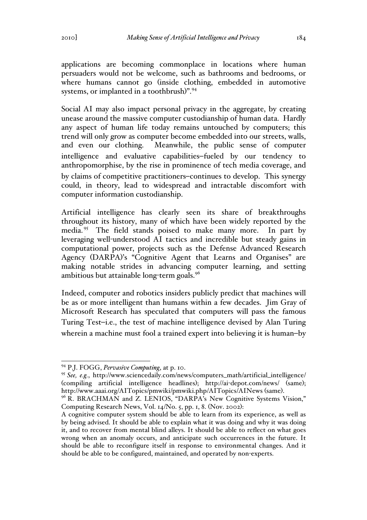applications are becoming commonplace in locations where human persuaders would not be welcome, such as bathrooms and bedrooms, or where humans cannot go (inside clothing, embedded in automotive systems, or implanted in a toothbrush)".<sup>94</sup>

Social AI may also impact personal privacy in the aggregate, by creating unease around the massive computer custodianship of human data. Hardly any aspect of human life today remains untouched by computers; this trend will only grow as computer become embedded into our streets, walls, and even our clothing. Meanwhile, the public sense of computer intelligence and evaluative capabilities-fueled by our tendency to anthropomorphise, by the rise in prominence of tech media coverage, and by claims of competitive practitioners–continues to develop. This synergy could, in theory, lead to widespread and intractable discomfort with computer information custodianship.

Artificial intelligence has clearly seen its share of breakthroughs throughout its history, many of which have been widely reported by the media.<sup>95</sup> The field stands poised to make many more. In part by leveraging well-understood AI tactics and incredible but steady gains in computational power, projects such as the Defense Advanced Research Agency (DARPA)'s "Cognitive Agent that Learns and Organises" are making notable strides in advancing computer learning, and setting ambitious but attainable long-term goals.<sup>96</sup>

Indeed, computer and robotics insiders publicly predict that machines will be as or more intelligent than humans within a few decades. Jim Gray of Microsoft Research has speculated that computers will pass the famous Turing Test-i.e., the test of machine intelligence devised by Alan Turing wherein a machine must fool a trained expert into believing it is human-by

 <sup>94</sup> P.J. FOGG, *Pervasive Computing*, at p. 10.

<sup>95</sup> *See, e.g.*, http://www.sciencedaily.com/news/computers\_math/artificial\_intelligence/ (compiling artificial intelligence headlines); http://ai-depot.com/news/ (same); http://www.aaai.org/AITopics/pmwiki/pmwiki.php/AITopics/AINews (same).<br><sup>96</sup> R. BRACHMAN and Z. LENIOS, "DARPA's New Cognitive Systems Vision,"

Computing Research News, Vol. 14/No. 5, pp. 1, 8. (Nov. 2002):

A cognitive computer system should be able to learn from its experience, as well as by being advised. It should be able to explain what it was doing and why it was doing it, and to recover from mental blind alleys. It should be able to reflect on what goes wrong when an anomaly occurs, and anticipate such occurrences in the future. It should be able to reconfigure itself in response to environmental changes. And it should be able to be configured, maintained, and operated by non-experts.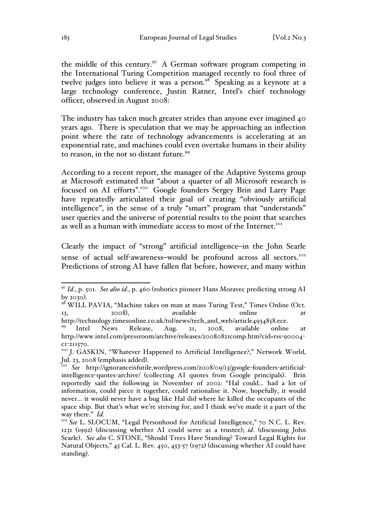the middle of this century.<sup>97</sup> A German software program competing in the International Turing Competition managed recently to fool three of twelve judges into believe it was a person.<sup>98</sup> Speaking as a keynote at a large technology conference, Justin Ratner, Intel's chief technology officer, observed in August 2008:

The industry has taken much greater strides than anyone ever imagined 40 years ago. There is speculation that we may be approaching an inflection point where the rate of technology advancements is accelerating at an exponential rate, and machines could even overtake humans in their ability to reason, in the not so distant future.<sup>99</sup>

According to a recent report, the manager of the Adaptive Systems group at Microsoft estimated that "about a quarter of all Microsoft research is focused on AI efforts".100 Google founders Sergey Brin and Larry Page have repeatedly articulated their goal of creating "obviously artificial intelligence", in the sense of a truly "smart" program that "understands" user queries and the universe of potential results to the point that searches as well as a human with immediate access to most of the Internet.<sup>101</sup>

Clearly the impact of "strong" artificial intelligence—in the John Searle sense of actual self-awareness-would be profound across all sectors.<sup>102</sup> Predictions of strong AI have fallen flat before, however, and many within

 <sup>97</sup> *Id.*, p. 501. *See also id.*, p. 460 (robotics pioneer Hans Moravec predicting strong AI

by 2030).<br><sup>98</sup> WILL PAVIA, "Machine takes on man at mass Turing Test," Times Online (Oct. 13, 2008), available online at

http://technology.timesonline.co.uk/tol/news/tech\_and\_web/article4934858.ece. 99 Intel News Release, Aug. 21, 2008, available online at http://www.intel.com/pressroom/archive/releases/20080821comp.htm?cid=rss-90004-

c1-211570.<br><sup>100</sup> J. GASKIN, "Whatever Happened to Artificial Intelligence?," Network World,

Jul. 23, 2008 (emphasis added). <sup>101</sup> *See* http://ignoranceisfutile.wordpress.com/2008/09/13/google-founders-artificialintelligence-quotes-archive/ (collecting AI quotes from Google principals). Brin reportedly said the following in November of 2002: "Hal could… had a lot of information, could piece it together, could rationalise it. Now, hopefully, it would never… it would never have a bug like Hal did where he killed the occupants of the space ship. But that's what we're striving for, and I think we've made it a part of the way there." *Id.*<br><sup>102</sup> *See* L. SLOCUM, "Legal Personhood for Artificial Intelligence," 70 N.C. L. Rev.

<sup>1231</sup> (1992) (discussing whether AI could serve as a trustee); *id*. (discussing John Searle). *See also* C. STONE, "Should Trees Have Standing? Toward Legal Rights for Natural Objects," 45 Cal. L. Rev. 450, 453-57 (1972) (discussing whether AI could have standing).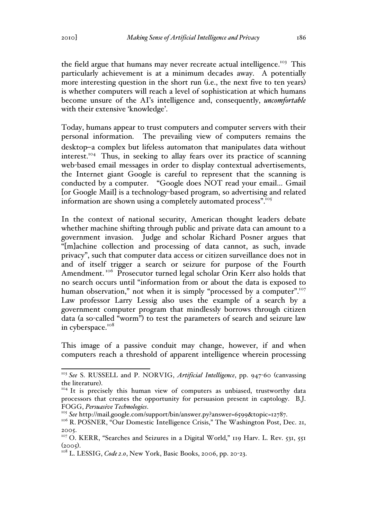the field argue that humans may never recreate actual intelligence.<sup>103</sup> This particularly achievement is at a minimum decades away. A potentially more interesting question in the short run (i.e., the next five to ten years) is whether computers will reach a level of sophistication at which humans become unsure of the AI's intelligence and, consequently, *uncomfortable*  with their extensive 'knowledge'.

Today, humans appear to trust computers and computer servers with their personal information. The prevailing view of computers remains the desktop-a complex but lifeless automaton that manipulates data without interest.<sup>104</sup> Thus, in seeking to allay fears over its practice of scanning web-based email messages in order to display contextual advertisements, the Internet giant Google is careful to represent that the scanning is conducted by a computer. "Google does NOT read your email… Gmail [or Google Mail] is a technology-based program, so advertising and related information are shown using a completely automated process".<sup>105</sup>

In the context of national security, American thought leaders debate whether machine shifting through public and private data can amount to a government invasion. Judge and scholar Richard Posner argues that "[m]achine collection and processing of data cannot, as such, invade privacy", such that computer data access or citizen surveillance does not in and of itself trigger a search or seizure for purpose of the Fourth Amendment.<sup>106</sup> Prosecutor turned legal scholar Orin Kerr also holds that no search occurs until "information from or about the data is exposed to human observation," not when it is simply "processed by a computer".<sup>107</sup> Law professor Larry Lessig also uses the example of a search by a government computer program that mindlessly borrows through citizen data (a so-called "worm") to test the parameters of search and seizure law in cyberspace.<sup>108</sup>

This image of a passive conduit may change, however, if and when computers reach a threshold of apparent intelligence wherein processing

 <sup>103</sup> *See* S. RUSSELL and P. NORVIG, *Artificial Intelligence*, pp. 947-60 (canvassing the literature).<br><sup>104</sup> It is precisely this human view of computers as unbiased, trustworthy data

processors that creates the opportunity for persuasion present in captology. B.J. FOGG, *Persuasive Technologies*.<br><sup>105</sup> See http://mail.google.com/support/bin/answer.py?answer=6599&topic=12787.<br><sup>106</sup> R. POSNER, "Our Domestic Intelligence Crisis," The Washington Post, Dec. 21,

<sup>2005.</sup>

<sup>&</sup>lt;sup>107</sup> O. KERR, "Searches and Seizures in a Digital World," 119 Harv. L. Rev. 531, 551 (2005). <sup>108</sup> L. LESSIG, *Code 2.0*, New York, Basic Books, 2006, pp. 20-23.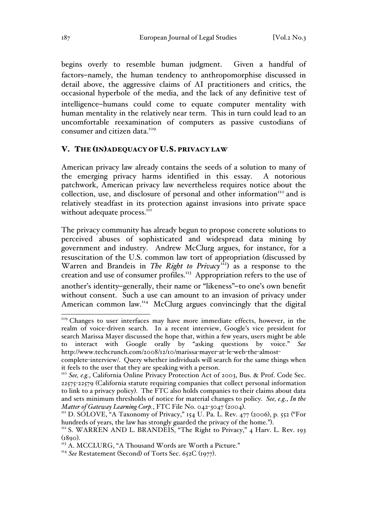begins overly to resemble human judgment. Given a handful of factors-namely, the human tendency to anthropomorphise discussed in detail above, the aggressive claims of AI practitioners and critics, the occasional hyperbole of the media, and the lack of any definitive test of intelligence-humans could come to equate computer mentality with human mentality in the relatively near term. This in turn could lead to an uncomfortable reexamination of computers as passive custodians of consumer and citizen data.<sup>109</sup>

#### V. THE (IN)ADEQUACY OF U.S. PRIVACY LAW

American privacy law already contains the seeds of a solution to many of the emerging privacy harms identified in this essay. A notorious patchwork, American privacy law nevertheless requires notice about the collection, use, and disclosure of personal and other information $\mu$ <sup>110</sup> and is relatively steadfast in its protection against invasions into private space without adequate process.<sup>111</sup>

The privacy community has already begun to propose concrete solutions to perceived abuses of sophisticated and widespread data mining by government and industry. Andrew McClurg argues, for instance, for a resuscitation of the U.S. common law tort of appropriation (discussed by Warren and Brandeis in *The Right to Privacy*<sup>112</sup>) as a response to the creation and use of consumer profiles.<sup>113</sup> Appropriation refers to the use of another's identity-generally, their name or "likeness"-to one's own benefit without consent. Such a use can amount to an invasion of privacy under American common law.<sup>114</sup> McClurg argues convincingly that the digital

<sup>&</sup>lt;sup>109</sup> Changes to user interfaces may have more immediate effects, however, in the realm of voice-driven search. In a recent interview, Google's vice president for search Marissa Mayer discussed the hope that, within a few years, users might be able to interact with Google orally by "asking questions by voice." *See*  http://www.techcrunch.com/2008/12/10/marissa-mayer-at-le-web-the-almost-

complete-interview/. Query whether individuals will search for the same things when it feels to the user that they are speaking with a person.

<sup>110</sup> *See, e.g.*, California Online Privacy Protection Act of 2003, Bus. & Prof. Code Sec. 22575-22579 (California statute requiring companies that collect personal information to link to a privacy policy). The FTC also holds companies to their claims about data and sets minimum thresholds of notice for material changes to policy. *See, e.g*., *In the* 

<sup>&</sup>lt;sup>*M</sup>* D. SOLOVE, "A Taxonomy of Privacy," 154 U. Pa. L. Rev. 477 (2006), p. 552 ("For hundreds of years, the law has strongly guarded the privacy of the home.").</sup>

<sup>&</sup>lt;sup>112</sup> S. WARREN AND L. BRANDEIS, "The Right to Privacy," 4 Harv. L. Rev. 193 (1890). <sup>113</sup> A. MCCLURG, "A Thousand Words are Worth a Picture."

<sup>&</sup>lt;sup>114</sup> See Restatement (Second) of Torts Sec. 652C (1977).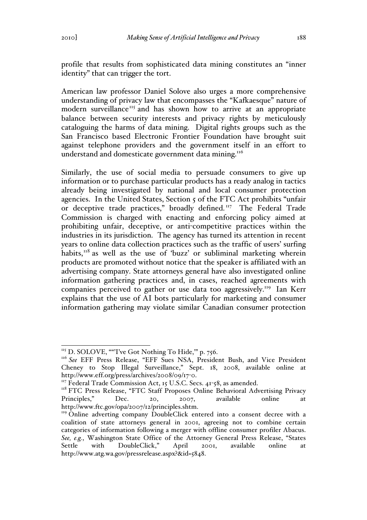profile that results from sophisticated data mining constitutes an "inner identity" that can trigger the tort.

American law professor Daniel Solove also urges a more comprehensive understanding of privacy law that encompasses the "Kafkaesque" nature of modern surveillance<sup>115</sup> and has shown how to arrive at an appropriate balance between security interests and privacy rights by meticulously cataloguing the harms of data mining. Digital rights groups such as the San Francisco based Electronic Frontier Foundation have brought suit against telephone providers and the government itself in an effort to understand and domesticate government data mining.<sup>116</sup>

Similarly, the use of social media to persuade consumers to give up information or to purchase particular products has a ready analog in tactics already being investigated by national and local consumer protection agencies. In the United States, Section 5 of the FTC Act prohibits "unfair or deceptive trade practices," broadly defined.<sup>117</sup> The Federal Trade Commission is charged with enacting and enforcing policy aimed at prohibiting unfair, deceptive, or anti-competitive practices within the industries in its jurisdiction. The agency has turned its attention in recent years to online data collection practices such as the traffic of users' surfing habits, $118$  as well as the use of 'buzz' or subliminal marketing wherein products are promoted without notice that the speaker is affiliated with an advertising company. State attorneys general have also investigated online information gathering practices and, in cases, reached agreements with companies perceived to gather or use data too aggressively.<sup>119</sup> Ian Kerr explains that the use of AI bots particularly for marketing and consumer information gathering may violate similar Canadian consumer protection

<sup>&</sup>lt;sup>115</sup> D. SOLOVE, ""'I've Got Nothing To Hide,"' p. 756.<br><sup>116</sup> *See* EFF Press Release, "EFF Sues NSA, President Bush, and Vice President Cheney to Stop Illegal Surveillance," Sept. 18, 2008, available online at http://www.eff.org/press/archives/2008/09/17-0.

<sup>&</sup>lt;sup>117</sup> Federal Trade Commission Act, 15 U.S.C. Secs. 41-58, as amended.

<sup>&</sup>lt;sup>118</sup> FTC Press Release, "FTC Staff Proposes Online Behavioral Advertising Privacy Principles," Dec. 20, 2007, available online at http://www.ftc.gov/opa/2007/12/principles.shtm.

<sup>&</sup>lt;sup>119</sup> Online adverting company DoubleClick entered into a consent decree with a coalition of state attorneys general in 2001, agreeing not to combine certain categories of information following a merger with offline consumer profiler Abacus. *See, e.g.*, Washington State Office of the Attorney General Press Release, "States Settle with DoubleClick," April 2001, available online at http://www.atg.wa.gov/pressrelease.aspx?&id=5848.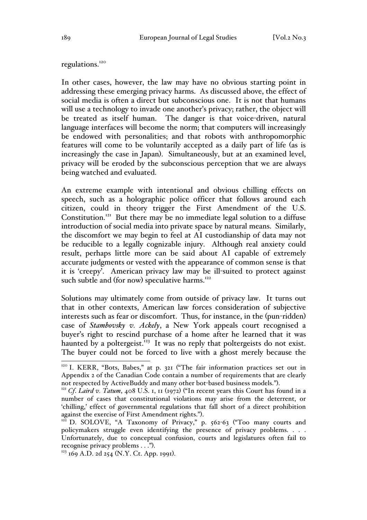regulations.<sup>120</sup>

In other cases, however, the law may have no obvious starting point in addressing these emerging privacy harms. As discussed above, the effect of social media is often a direct but subconscious one. It is not that humans will use a technology to invade one another's privacy; rather, the object will be treated as itself human. The danger is that voice-driven, natural language interfaces will become the norm; that computers will increasingly be endowed with personalities; and that robots with anthropomorphic features will come to be voluntarily accepted as a daily part of life (as is increasingly the case in Japan). Simultaneously, but at an examined level, privacy will be eroded by the subconscious perception that we are always being watched and evaluated.

An extreme example with intentional and obvious chilling effects on speech, such as a holographic police officer that follows around each citizen, could in theory trigger the First Amendment of the U.S. Constitution.<sup>121</sup> But there may be no immediate legal solution to a diffuse introduction of social media into private space by natural means. Similarly, the discomfort we may begin to feel at AI custodianship of data may not be reducible to a legally cognizable injury. Although real anxiety could result, perhaps little more can be said about AI capable of extremely accurate judgments or vested with the appearance of common sense is that it is 'creepy'. American privacy law may be ill-suited to protect against such subtle and (for now) speculative harms.<sup>122</sup>

Solutions may ultimately come from outside of privacy law. It turns out that in other contexts, American law forces consideration of subjective interests such as fear or discomfort. Thus, for instance, in the (pun-ridden) case of *Stambovsky v. Ackely*, a New York appeals court recognised a buyer's right to rescind purchase of a home after he learned that it was haunted by a poltergeist.<sup>123</sup> It was no reply that poltergeists do not exist. The buyer could not be forced to live with a ghost merely because the

<sup>&</sup>lt;sup>120</sup> I. KERR, "Bots, Babes," at p. 321 ("The fair information practices set out in Appendix 2 of the Canadian Code contain a number of requirements that are clearly not respected by ActiveBuddy and many other bot-based business models."). <sup>121</sup> *Cf*. *Laird v. Tatum*, 408 U.S. 1, 11 (1972) ("In recent years this Court has found in a

number of cases that constitutional violations may arise from the deterrent, or 'chilling,' effect of governmental regulations that fall short of a direct prohibition

<sup>&</sup>lt;sup>122</sup> D. SOLOVE, "A Taxonomy of Privacy," p. 562-63 ("Too many courts and policymakers struggle even identifying the presence of privacy problems. . . . Unfortunately, due to conceptual confusion, courts and legislatures often fail to recognise privacy problems . . .").<br> $123$  169 A.D. 2d 254 (N.Y. Ct. App. 1991).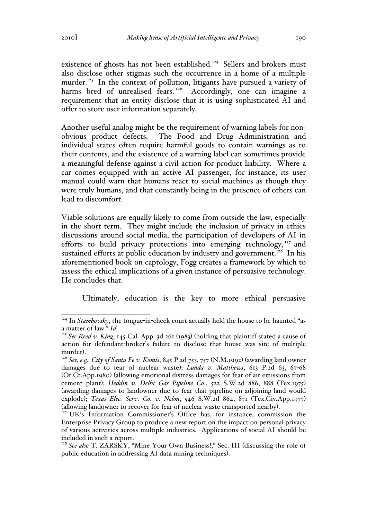existence of ghosts has not been established.<sup>124</sup> Sellers and brokers must also disclose other stigmas such the occurrence in a home of a multiple murder.<sup>125</sup> In the context of pollution, litigants have pursued a variety of harms bred of unrealised fears.<sup>126</sup> Accordingly, one can imagine a requirement that an entity disclose that it is using sophisticated AI and offer to store user information separately.

Another useful analog might be the requirement of warning labels for nonobvious product defects. The Food and Drug Administration and individual states often require harmful goods to contain warnings as to their contents, and the existence of a warning label can sometimes provide a meaningful defense against a civil action for product liability. Where a car comes equipped with an active AI passenger, for instance, its user manual could warn that humans react to social machines as though they were truly humans, and that constantly being in the presence of others can lead to discomfort.

Viable solutions are equally likely to come from outside the law, especially in the short term. They might include the inclusion of privacy in ethics discussions around social media, the participation of developers of AI in efforts to build privacy protections into emerging technology,<sup>127</sup> and sustained efforts at public education by industry and government.<sup>128</sup> In his aforementioned book on captology, Fogg creates a framework by which to assess the ethical implications of a given instance of persuasive technology. He concludes that:

Ultimately, education is the key to more ethical persuasive

<sup>&</sup>lt;sup>124</sup> In *Stambovsky*, the tongue-in-cheek court actually held the house to be haunted "as a matter of law." *Id.*

<sup>125</sup> *See Reed v. King*, 145 Cal. App. 3d 261 (1983) (holding that plaintiff stated a cause of action for defendant-broker's failure to disclose that house was site of multiple

murder). 126 *See, e.g., City of Santa Fe v. Komis*, 845 P.2d 753, 757 (N.M.1992) (awarding land owner damages due to fear of nuclear waste); *Lunda v. Matthews*, 613 P.2d 63, 67-68 (Or.Ct.App.1980) (allowing emotional distress damages for fear of air emissions from cement plant); *Heddin v. Delhi Gas Pipeline Co*., 522 S.W.2d 886, 888 (Tex.1975) (awarding damages to landowner due to fear that pipeline on adjoining land would explode); *Texas Elec. Serv. Co. v. Nelon*, 546 S.W.2d 864, 871 (Tex.Civ.App.1977)

<sup>(</sup>allowing landowner to recover for fear of nuclear waste transported nearby). <sup>127</sup> UK's Information Commissioner's Office has, for instance, commission the Enterprise Privacy Group to produce a new report on the impact on personal privacy of various activities across multiple industries. Applications of social AI should be included in such a report.

<sup>&</sup>lt;sup>128</sup> See also T. ZARSKY, "Mine Your Own Business!," Sec. III (discussing the role of public education in addressing AI data mining techniques).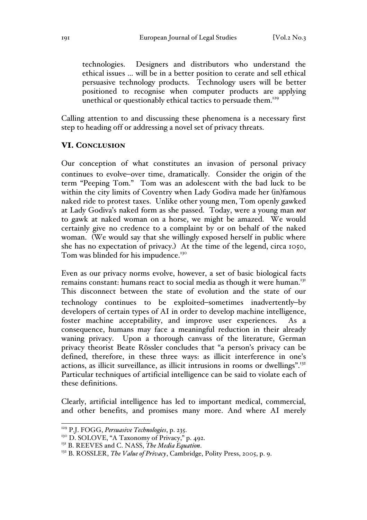technologies. Designers and distributors who understand the ethical issues … will be in a better position to cerate and sell ethical persuasive technology products. Technology users will be better positioned to recognise when computer products are applying unethical or questionably ethical tactics to persuade them.<sup>129</sup>

Calling attention to and discussing these phenomena is a necessary first step to heading off or addressing a novel set of privacy threats.

# VI. CONCLUSION

Our conception of what constitutes an invasion of personal privacy continues to evolve–over time, dramatically. Consider the origin of the term "Peeping Tom." Tom was an adolescent with the bad luck to be within the city limits of Coventry when Lady Godiva made her (in)famous naked ride to protest taxes. Unlike other young men, Tom openly gawked at Lady Godiva's naked form as she passed. Today, were a young man *not* to gawk at naked woman on a horse, we might be amazed. We would certainly give no credence to a complaint by or on behalf of the naked woman. (We would say that she willingly exposed herself in public where she has no expectation of privacy.) At the time of the legend, circa 1050, Tom was blinded for his impudence.<sup>130</sup>

Even as our privacy norms evolve, however, a set of basic biological facts remains constant: humans react to social media as though it were human.<sup>131</sup> This disconnect between the state of evolution and the state of our technology continues to be exploited–sometimes inadvertently-by developers of certain types of AI in order to develop machine intelligence, foster machine acceptability, and improve user experiences. As a consequence, humans may face a meaningful reduction in their already waning privacy. Upon a thorough canvass of the literature, German privacy theorist Beate Rössler concludes that "a person's privacy can be defined, therefore, in these three ways: as illicit interference in one's actions, as illicit surveillance, as illicit intrusions in rooms or dwellings".<sup>132</sup> Particular techniques of artificial intelligence can be said to violate each of these definitions.

Clearly, artificial intelligence has led to important medical, commercial, and other benefits, and promises many more. And where AI merely

 <sup>129</sup> P.J. FOGG, *Persuasive Technologies*, p. 235.

<sup>&</sup>lt;sup>130</sup> D. SOLOVE, "A Taxonomy of Privacy," p. 492.<br><sup>131</sup> B. REEVES and C. NASS, *The Media Equation*.

<sup>&</sup>lt;sup>132</sup> B. ROSSLER, *The Value of Privacy*, Cambridge, Polity Press, 2005, p. 9.